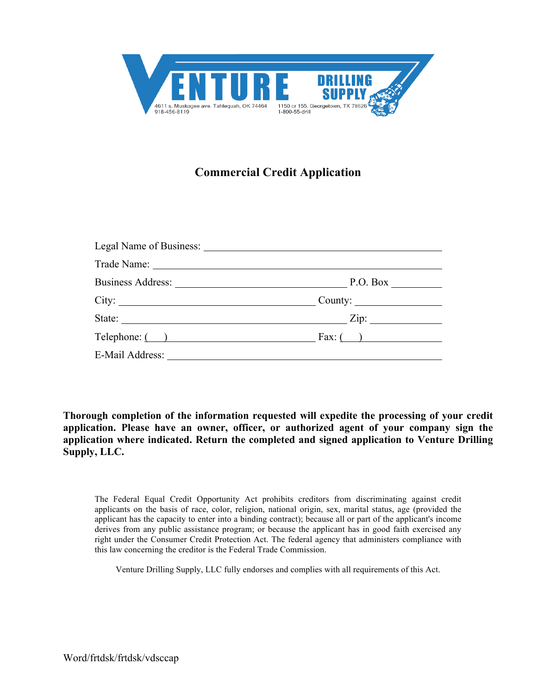

# **Commercial Credit Application**

| City:  |                                                                                                                                                                                                                                                                                                                                                                                 |
|--------|---------------------------------------------------------------------------------------------------------------------------------------------------------------------------------------------------------------------------------------------------------------------------------------------------------------------------------------------------------------------------------|
| State: | Zip:<br>$\frac{1}{\sqrt{1-\frac{1}{2}}\left(1-\frac{1}{2}\right)}$                                                                                                                                                                                                                                                                                                              |
|        | $\text{Telephone:}$ $\begin{picture}(1,1) \put(0,0){\vector(1,0){100}} \put(1,0){\vector(1,0){100}} \put(1,0){\vector(1,0){100}} \put(1,0){\vector(1,0){100}} \put(1,0){\vector(1,0){100}} \put(1,0){\vector(1,0){100}} \put(1,0){\vector(1,0){100}} \put(1,0){\vector(1,0){100}} \put(1,0){\vector(1,0){100}} \put(1,0){\vector(1,0){100}} \put(1,0){\vector(1,0){100}} \put($ |
|        |                                                                                                                                                                                                                                                                                                                                                                                 |

**Thorough completion of the information requested will expedite the processing of your credit application. Please have an owner, officer, or authorized agent of your company sign the application where indicated. Return the completed and signed application to Venture Drilling Supply, LLC.**

The Federal Equal Credit Opportunity Act prohibits creditors from discriminating against credit applicants on the basis of race, color, religion, national origin, sex, marital status, age (provided the applicant has the capacity to enter into a binding contract); because all or part of the applicant's income derives from any public assistance program; or because the applicant has in good faith exercised any right under the Consumer Credit Protection Act. The federal agency that administers compliance with this law concerning the creditor is the Federal Trade Commission.

Venture Drilling Supply, LLC fully endorses and complies with all requirements of this Act.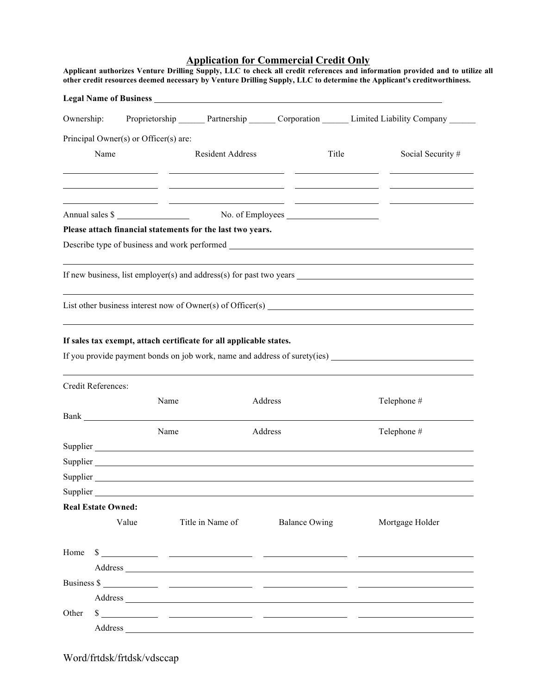# **Application for Commercial Credit Only Applicant authorizes Venture Drilling Supply, LLC to check all credit references and information provided and to utilize all**

| Ownership: |                           |                                       |                                                                    |                                                                                                                                                                                                                                                                                                                                        | Proprietorship Partnership Corporation Limited Liability Company                                                    |
|------------|---------------------------|---------------------------------------|--------------------------------------------------------------------|----------------------------------------------------------------------------------------------------------------------------------------------------------------------------------------------------------------------------------------------------------------------------------------------------------------------------------------|---------------------------------------------------------------------------------------------------------------------|
|            |                           | Principal Owner(s) or Officer(s) are: |                                                                    |                                                                                                                                                                                                                                                                                                                                        |                                                                                                                     |
|            | Name                      |                                       | <b>Resident Address</b>                                            | Title                                                                                                                                                                                                                                                                                                                                  | Social Security #                                                                                                   |
|            |                           |                                       |                                                                    |                                                                                                                                                                                                                                                                                                                                        |                                                                                                                     |
|            |                           |                                       |                                                                    | Annual sales \$                                                                                                                                                                                                                                                                                                                        | <u> 1999 - Johann John Stone, mars and de format and de format and de format and de format and de format and de</u> |
|            |                           |                                       | Please attach financial statements for the last two years.         |                                                                                                                                                                                                                                                                                                                                        |                                                                                                                     |
|            |                           |                                       |                                                                    |                                                                                                                                                                                                                                                                                                                                        |                                                                                                                     |
|            |                           |                                       |                                                                    |                                                                                                                                                                                                                                                                                                                                        |                                                                                                                     |
|            |                           |                                       |                                                                    |                                                                                                                                                                                                                                                                                                                                        |                                                                                                                     |
|            |                           |                                       | If sales tax exempt, attach certificate for all applicable states. |                                                                                                                                                                                                                                                                                                                                        |                                                                                                                     |
|            | Credit References:        |                                       |                                                                    |                                                                                                                                                                                                                                                                                                                                        | If you provide payment bonds on job work, name and address of surety(ies)                                           |
|            |                           | Name                                  |                                                                    | Address                                                                                                                                                                                                                                                                                                                                | Telephone #                                                                                                         |
|            |                           |                                       |                                                                    |                                                                                                                                                                                                                                                                                                                                        |                                                                                                                     |
|            |                           | Name                                  |                                                                    | Address                                                                                                                                                                                                                                                                                                                                | Telephone #                                                                                                         |
|            |                           |                                       |                                                                    |                                                                                                                                                                                                                                                                                                                                        |                                                                                                                     |
|            |                           |                                       |                                                                    | Supplier and the state of the state of the state of the state of the state of the state of the state of the state of the state of the state of the state of the state of the state of the state of the state of the state of t                                                                                                         |                                                                                                                     |
|            |                           |                                       |                                                                    |                                                                                                                                                                                                                                                                                                                                        |                                                                                                                     |
|            |                           |                                       |                                                                    | Supplier and the contract of the contract of the contract of the contract of the contract of the contract of the contract of the contract of the contract of the contract of the contract of the contract of the contract of t                                                                                                         |                                                                                                                     |
|            | <b>Real Estate Owned:</b> |                                       |                                                                    |                                                                                                                                                                                                                                                                                                                                        |                                                                                                                     |
|            | Value                     |                                       | Title in Name of                                                   | <b>Balance Owing</b>                                                                                                                                                                                                                                                                                                                   | Mortgage Holder                                                                                                     |
| Home       |                           |                                       |                                                                    | $s$ and $s$ and $s$ and $s$ and $s$ and $s$ and $s$ and $s$ and $s$ and $s$ and $s$ and $s$ and $s$ and $s$ and $s$ and $s$ and $s$ and $s$ and $s$ and $s$ and $s$ and $s$ and $s$ and $s$ and $s$ and $s$ and $s$ and $s$ a                                                                                                          |                                                                                                                     |
|            |                           |                                       |                                                                    | Address and the contract of the contract of the contract of the contract of the contract of the contract of the contract of the contract of the contract of the contract of the contract of the contract of the contract of th                                                                                                         |                                                                                                                     |
|            |                           |                                       |                                                                    | Business $\frac{\sqrt{2}}{2}$ and $\frac{\sqrt{2}}{2}$ and $\frac{\sqrt{2}}{2}$ and $\frac{\sqrt{2}}{2}$ and $\frac{\sqrt{2}}{2}$ and $\frac{\sqrt{2}}{2}$ and $\frac{\sqrt{2}}{2}$ and $\frac{\sqrt{2}}{2}$ and $\frac{\sqrt{2}}{2}$ and $\frac{\sqrt{2}}{2}$ and $\frac{\sqrt{2}}{2}$ and $\frac{\sqrt{2}}{2}$ and $\frac{\sqrt{2}}$ |                                                                                                                     |
|            |                           |                                       |                                                                    |                                                                                                                                                                                                                                                                                                                                        |                                                                                                                     |
| Other      |                           |                                       |                                                                    |                                                                                                                                                                                                                                                                                                                                        |                                                                                                                     |

Word/frtdsk/frtdsk/vdsccap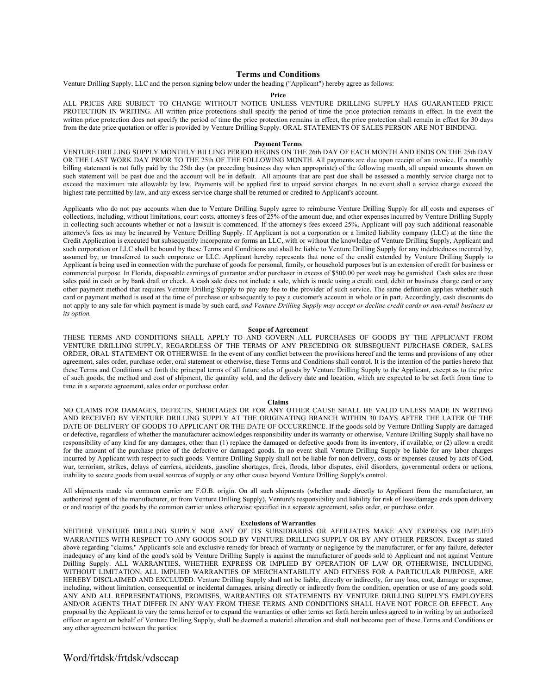# **Terms and Conditions**

Venture Drilling Supply, LLC and the person signing below under the heading ("Applicant") hereby agree as follows:

# **Price**

ALL PRICES ARE SUBJECT TO CHANGE WITHOUT NOTICE UNLESS VENTURE DRILLING SUPPLY HAS GUARANTEED PRICE PROTECTION IN WRITING. All written price protections shall specify the period of time the price protection remains in effect. In the event the written price protection does not specify the period of time the price protection remains in effect, the price protection shall remain in effect for 30 days from the date price quotation or offer is provided by Venture Drilling Supply. ORAL STATEMENTS OF SALES PERSON ARE NOT BINDING.

# **Payment Terms**

VENTURE DRILLING SUPPLY MONTHLY BILLING PERIOD BEGINS ON THE 26th DAY OF EACH MONTH AND ENDS ON THE 25th DAY OR THE LAST WORK DAY PRIOR TO THE 25th OF THE FOLLOWING MONTH. All payments are due upon receipt of an invoice. If a monthly billing statement is not fully paid by the 25th day (or preceding business day when appropriate) of the following month, all unpaid amounts shown on such statement will be past due and the account will be in default. All amounts that are past due shall be assessed a monthly service charge not to exceed the maximum rate allowable by law. Payments will be applied first to unpaid service charges. In no event shall a service charge exceed the highest rate permitted by law, and any excess service charge shall be returned or credited to Applicant's account.

Applicants who do not pay accounts when due to Venture Drilling Supply agree to reimburse Venture Drilling Supply for all costs and expenses of collections, including, without limitations, court costs, attorney's fees of 25% of the amount due, and other expenses incurred by Venture Drilling Supply in collecting such accounts whether or not a lawsuit is commenced. If the attorney's fees exceed 25%, Applicant will pay such additional reasonable attorney's fees as may be incurred by Venture Drilling Supply. If Applicant is not a corporation or a limited liability company (LLC) at the time the Credit Application is executed but subsequently incorporate or forms an LLC, with or without the knowledge of Venture Drilling Supply, Applicant and such corporation or LLC shall be bound by these Terms and Conditions and shall be liable to Venture Drilling Supply for any indebtedness incurred by, assumed by, or transferred to such corporate or LLC. Applicant hereby represents that none of the credit extended by Venture Drilling Supply to Applicant is being used in connection with the purchase of goods for personal, family, or household purposes but is an extension of credit for business or commercial purpose. In Florida, disposable earnings of guarantor and/or purchaser in excess of \$500.00 per week may be garnished. Cash sales are those sales paid in cash or by bank draft or check. A cash sale does not include a sale, which is made using a credit card, debit or business charge card or any other payment method that requires Venture Drilling Supply to pay any fee to the provider of such service. The same definition applies whether such card or payment method is used at the time of purchase or subsequently to pay a customer's account in whole or in part. Accordingly, cash discounts do not apply to any sale for which payment is made by such card, *and Venture Drilling Supply may accept or decline credit cards or non-retail business as its option.*

#### **Scope of Agreement**

THESE TERMS AND CONDITIONS SHALL APPLY TO AND GOVERN ALL PURCHASES OF GOODS BY THE APPLICANT FROM VENTURE DRILLING SUPPLY, REGARDLESS OF THE TERMS OF ANY PRECEDING OR SUBSEQUENT PURCHASE ORDER, SALES ORDER, ORAL STATEMENT OR OTHERWISE. In the event of any conflict between the provisions hereof and the terms and provisions of any other agreement, sales order, purchase order, oral statement or otherwise, these Terms and Conditions shall control. It is the intention of the parties hereto that these Terms and Conditions set forth the principal terms of all future sales of goods by Venture Drilling Supply to the Applicant, except as to the price of such goods, the method and cost of shipment, the quantity sold, and the delivery date and location, which are expected to be set forth from time to time in a separate agreement, sales order or purchase order.

#### **Claims**

NO CLAIMS FOR DAMAGES, DEFECTS, SHORTAGES OR FOR ANY OTHER CAUSE SHALL BE VALID UNLESS MADE IN WRITING AND RECEIVED BY VENTURE DRILLING SUPPLY AT THE ORIGINATING BRANCH WITHIN 30 DAYS AFTER THE LATER OF THE DATE OF DELIVERY OF GOODS TO APPLICANT OR THE DATE OF OCCURRENCE. If the goods sold by Venture Drilling Supply are damaged or defective, regardless of whether the manufacturer acknowledges responsibility under its warranty or otherwise, Venture Drilling Supply shall have no responsibility of any kind for any damages, other than (1) replace the damaged or defective goods from its inventory, if available, or (2) allow a credit for the amount of the purchase price of the defective or damaged goods. In no event shall Venture Drilling Supply be liable for any labor charges incurred by Applicant with respect to such goods. Venture Drilling Supply shall not be liable for non delivery, costs or expenses caused by acts of God, war, terrorism, strikes, delays of carriers, accidents, gasoline shortages, fires, floods, labor disputes, civil disorders, governmental orders or actions, inability to secure goods from usual sources of supply or any other cause beyond Venture Drilling Supply's control.

All shipments made via common carrier are F.O.B. origin. On all such shipments (whether made directly to Applicant from the manufacturer, an authorized agent of the manufacturer, or from Venture Drilling Supply), Venture's responsibility and liability for risk of loss/damage ends upon delivery or and receipt of the goods by the common carrier unless otherwise specified in a separate agreement, sales order, or purchase order.

## **Exclusions of Warranties**

NEITHER VENTURE DRILLING SUPPLY NOR ANY OF ITS SUBSIDIARIES OR AFFILIATES MAKE ANY EXPRESS OR IMPLIED WARRANTIES WITH RESPECT TO ANY GOODS SOLD BY VENTURE DRILLING SUPPLY OR BY ANY OTHER PERSON. Except as stated above regarding "claims," Applicant's sole and exclusive remedy for breach of warranty or negligence by the manufacturer, or for any failure, defector inadequacy of any kind of the good's sold by Venture Drilling Supply is against the manufacturer of goods sold to Applicant and not against Venture Drilling Supply. ALL WARRANTIES, WHETHER EXPRESS OR IMPLIED BY OPERATION OF LAW OR OTHERWISE, INCLUDING, WITHOUT LIMITATION, ALL IMPLIED WARRANTIES OF MERCHANTABILITY AND FITNESS FOR A PARTICULAR PURPOSE, ARE HEREBY DISCLAIMED AND EXCLUDED. Venture Drilling Supply shall not be liable, directly or indirectly, for any loss, cost, damage or expense, including, without limitation, consequential or incidental damages, arising directly or indirectly from the condition, operation or use of any goods sold. ANY AND ALL REPRESENTATIONS, PROMISES, WARRANTIES OR STATEMENTS BY VENTURE DRILLING SUPPLY'S EMPLOYEES AND/OR AGENTS THAT DIFFER IN ANY WAY FROM THESE TERMS AND CONDITIONS SHALL HAVE NOT FORCE OR EFFECT. Any proposal by the Applicant to vary the terms hereof or to expand the warranties or other terms set forth herein unless agreed to in writing by an authorized officer or agent on behalf of Venture Drilling Supply, shall be deemed a material alteration and shall not become part of these Terms and Conditions or any other agreement between the parties.

Word/frtdsk/frtdsk/vdsccap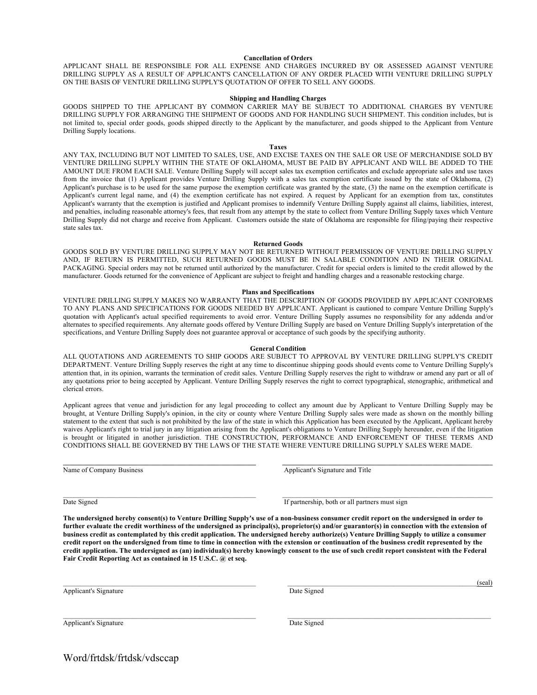# **Cancellation of Orders**

APPLICANT SHALL BE RESPONSIBLE FOR ALL EXPENSE AND CHARGES INCURRED BY OR ASSESSED AGAINST VENTURE DRILLING SUPPLY AS A RESULT OF APPLICANT'S CANCELLATION OF ANY ORDER PLACED WITH VENTURE DRILLING SUPPLY ON THE BASIS OF VENTURE DRILLING SUPPLY'S QUOTATION OF OFFER TO SELL ANY GOODS.

## **Shipping and Handling Charges**

GOODS SHIPPED TO THE APPLICANT BY COMMON CARRIER MAY BE SUBJECT TO ADDITIONAL CHARGES BY VENTURE DRILLING SUPPLY FOR ARRANGING THE SHIPMENT OF GOODS AND FOR HANDLING SUCH SHIPMENT. This condition includes, but is not limited to, special order goods, goods shipped directly to the Applicant by the manufacturer, and goods shipped to the Applicant from Venture Drilling Supply locations.

#### **Taxes**

ANY TAX, INCLUDING BUT NOT LIMITED TO SALES, USE, AND EXCISE TAXES ON THE SALE OR USE OF MERCHANDISE SOLD BY VENTURE DRILLING SUPPLY WITHIN THE STATE OF OKLAHOMA, MUST BE PAID BY APPLICANT AND WILL BE ADDED TO THE AMOUNT DUE FROM EACH SALE. Venture Drilling Supply will accept sales tax exemption certificates and exclude appropriate sales and use taxes from the invoice that (1) Applicant provides Venture Drilling Supply with a sales tax exemption certificate issued by the state of Oklahoma, (2) Applicant's purchase is to be used for the same purpose the exemption certificate was granted by the state, (3) the name on the exemption certificate is Applicant's current legal name, and (4) the exemption certificate has not expired. A request by Applicant for an exemption from tax, constitutes Applicant's warranty that the exemption is justified and Applicant promises to indemnify Venture Drilling Supply against all claims, liabilities, interest, and penalties, including reasonable attorney's fees, that result from any attempt by the state to collect from Venture Drilling Supply taxes which Venture Drilling Supply did not charge and receive from Applicant. Customers outside the state of Oklahoma are responsible for filing/paying their respective state sales tax.

#### **Returned Goods**

GOODS SOLD BY VENTURE DRILLING SUPPLY MAY NOT BE RETURNED WITHOUT PERMISSION OF VENTURE DRILLING SUPPLY AND, IF RETURN IS PERMITTED, SUCH RETURNED GOODS MUST BE IN SALABLE CONDITION AND IN THEIR ORIGINAL PACKAGING. Special orders may not be returned until authorized by the manufacturer. Credit for special orders is limited to the credit allowed by the manufacturer. Goods returned for the convenience of Applicant are subject to freight and handling charges and a reasonable restocking charge.

## **Plans and Specifications**

VENTURE DRILLING SUPPLY MAKES NO WARRANTY THAT THE DESCRIPTION OF GOODS PROVIDED BY APPLICANT CONFORMS TO ANY PLANS AND SPECIFICATIONS FOR GOODS NEEDED BY APPLICANT. Applicant is cautioned to compare Venture Drilling Supply's quotation with Applicant's actual specified requirements to avoid error. Venture Drilling Supply assumes no responsibility for any addenda and/or alternates to specified requirements. Any alternate goods offered by Venture Drilling Supply are based on Venture Drilling Supply's interpretation of the specifications, and Venture Drilling Supply does not guarantee approval or acceptance of such goods by the specifying authority.

#### **General Condition**

ALL QUOTATIONS AND AGREEMENTS TO SHIP GOODS ARE SUBJECT TO APPROVAL BY VENTURE DRILLING SUPPLY'S CREDIT DEPARTMENT. Venture Drilling Supply reserves the right at any time to discontinue shipping goods should events come to Venture Drilling Supply's attention that, in its opinion, warrants the termination of credit sales. Venture Drilling Supply reserves the right to withdraw or amend any part or all of any quotations prior to being accepted by Applicant. Venture Drilling Supply reserves the right to correct typographical, stenographic, arithmetical and clerical errors.

Applicant agrees that venue and jurisdiction for any legal proceeding to collect any amount due by Applicant to Venture Drilling Supply may be brought, at Venture Drilling Supply's opinion, in the city or county where Venture Drilling Supply sales were made as shown on the monthly billing statement to the extent that such is not prohibited by the law of the state in which this Application has been executed by the Applicant, Applicant hereby waives Applicant's right to trial jury in any litigation arising from the Applicant's obligations to Venture Drilling Supply hereunder, even if the litigation is brought or litigated in another jurisdiction. THE CONSTRUCTION, PERFORMANCE AND ENFORCEMENT OF THESE TERMS AND CONDITIONS SHALL BE GOVERNED BY THE LAWS OF THE STATE WHERE VENTURE DRILLING SUPPLY SALES WERE MADE.

 $\mathcal{L} = \{ \mathcal{L} \mathcal{L} \mathcal{L} \mathcal{L} \mathcal{L} \mathcal{L} \mathcal{L} \mathcal{L} \mathcal{L} \mathcal{L} \mathcal{L} \mathcal{L} \mathcal{L} \mathcal{L} \mathcal{L} \mathcal{L} \mathcal{L} \mathcal{L} \mathcal{L} \mathcal{L} \mathcal{L} \mathcal{L} \mathcal{L} \mathcal{L} \mathcal{L} \mathcal{L} \mathcal{L} \mathcal{L} \mathcal{L} \mathcal{L} \mathcal{L} \mathcal{L} \mathcal{L} \mathcal{L} \mathcal{L} \$ 

 $\_$  , and the state of the state of the state of the state of the state of the state of the state of the state of the state of the state of the state of the state of the state of the state of the state of the state of the

Name of Company Business and Title and Title Applicant's Signature and Title Applicant's Signature and Title

Date Signed If partnership, both or all partners must sign

**The undersigned hereby consent(s) to Venture Drilling Supply's use of a non-business consumer credit report on the undersigned in order to**  further evaluate the credit worthiness of the undersigned as principal(s), proprietor(s) and/or guarantor(s) in connection with the extension of **business credit as contemplated by this credit application. The undersigned hereby authorize(s) Venture Drilling Supply to utilize a consumer credit report on the undersigned from time to time in connection with the extension or continuation of the business credit represented by the credit application. The undersigned as (an) individual(s) hereby knowingly consent to the use of such credit report consistent with the Federal Fair Credit Reporting Act as contained in 15 U.S.C. @ et seq.**

\_\_\_\_\_\_\_\_\_\_\_\_\_\_\_\_\_\_\_\_\_\_\_\_\_\_\_\_\_\_\_\_\_\_\_\_\_\_\_\_\_\_\_\_\_\_\_\_\_\_\_\_\_\_\_ \_\_\_\_\_\_\_\_\_\_\_\_\_\_\_\_\_\_\_\_\_\_\_\_\_\_\_\_\_\_\_\_\_\_\_\_\_\_\_\_\_\_\_\_\_\_\_\_\_\_\_\_\_\_\_\_\_\_

Applicant's Signature Date Signature Date Signature Date Signature Date Signature

\_\_\_\_\_\_\_\_\_\_\_\_\_\_\_\_\_\_\_\_\_\_\_\_\_\_\_\_\_\_\_\_\_\_\_\_\_\_\_\_\_\_\_\_\_\_\_\_\_\_\_\_\_\_\_ \_\_\_\_\_\_\_\_\_\_\_\_\_\_\_\_\_\_\_\_\_\_\_\_\_\_\_\_\_\_\_\_\_\_\_\_\_\_\_\_\_\_\_\_\_\_\_\_\_\_\_\_\_\_(seal)

Applicant's Signature Date Signature

Word/frtdsk/frtdsk/vdsccap